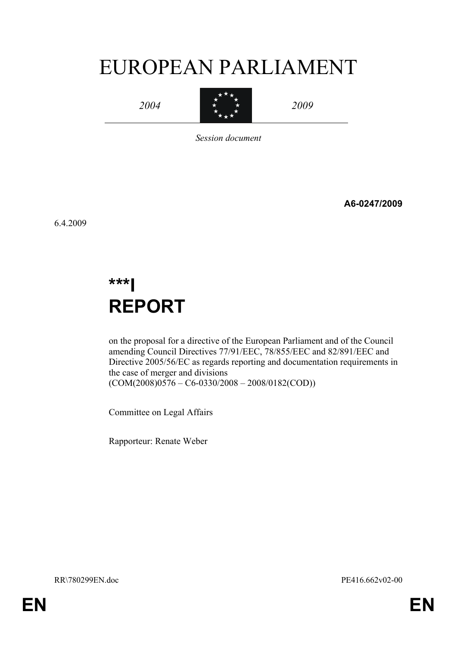# EUROPEAN PARLIAMENT



 $\star$  2009 2009

*Session document*

**A6-0247/2009**

6.4.2009

**\*\*\*I REPORT**

on the proposal for a directive of the European Parliament and of the Council amending Council Directives 77/91/EEC, 78/855/EEC and 82/891/EEC and Directive 2005/56/EC as regards reporting and documentation requirements in the case of merger and divisions  $(COM(2008)0576 - C6-0330/2008 - 2008/0182(COD))$ 

Committee on Legal Affairs

Rapporteur: Renate Weber

RR\780299EN.doc PE416.662v02-00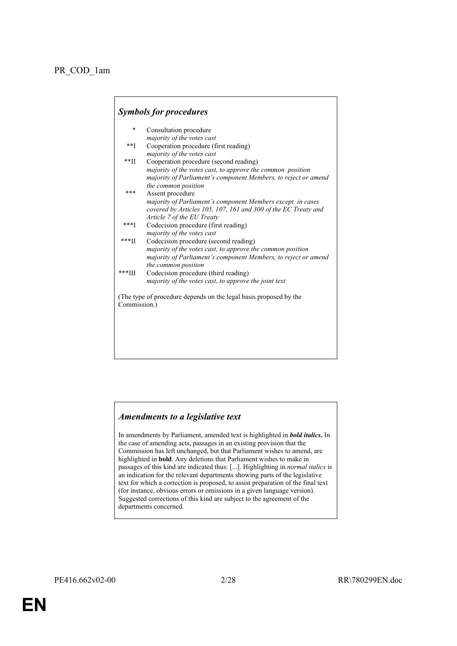| *                  | Consultation procedure                                            |
|--------------------|-------------------------------------------------------------------|
|                    | majority of the votes cast                                        |
| **[                | Cooperation procedure (first reading)                             |
|                    | majority of the votes cast                                        |
| $**$ II            | Cooperation procedure (second reading)                            |
|                    | majority of the votes cast, to approve the common position        |
|                    | majority of Parliament's component Members, to reject or amend    |
|                    | the common position                                               |
| ***                | Assent procedure                                                  |
|                    | majority of Parliament's component Members except in cases        |
|                    | covered by Articles 105, 107, 161 and 300 of the EC Treaty and    |
|                    | Article 7 of the EU Treaty                                        |
| $***$ <sup>1</sup> | Codecision procedure (first reading)                              |
|                    | majority of the votes cast                                        |
| $***$ II           | Codecision procedure (second reading)                             |
|                    | majority of the votes cast, to approve the common position        |
|                    | majority of Parliament's component Members, to reject or amend    |
|                    | the common position                                               |
| $***III$           | Codecision procedure (third reading)                              |
|                    | majority of the votes cast, to approve the joint text             |
|                    |                                                                   |
|                    | (The type of procedure depends on the legal basis proposed by the |
| Commission.)       |                                                                   |
|                    |                                                                   |
|                    |                                                                   |

### *Amendments to a legislative text*

In amendments by Parliament, amended text is highlighted in *bold italics***.** In the case of amending acts, passages in an existing provision that the Commission has left unchanged, but that Parliament wishes to amend, are highlighted in **bold**. Any deletions that Parliament wishes to make in passages of this kind are indicated thus: [...]. Highlighting in *normal italics* is an indication for the relevant departments showing parts of the legislative text for which a correction is proposed, to assist preparation of the final text (for instance, obvious errors or omissions in a given language version). Suggested corrections of this kind are subject to the agreement of the departments concerned.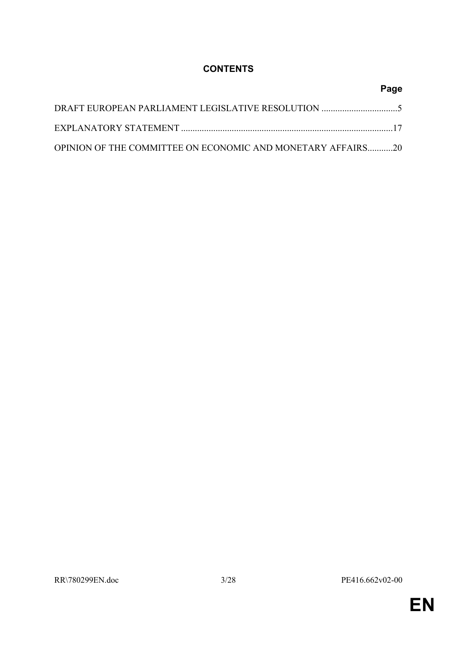# **CONTENTS**

|                                                             | Page |
|-------------------------------------------------------------|------|
|                                                             |      |
|                                                             |      |
| OPINION OF THE COMMITTEE ON ECONOMIC AND MONETARY AFFAIRS20 |      |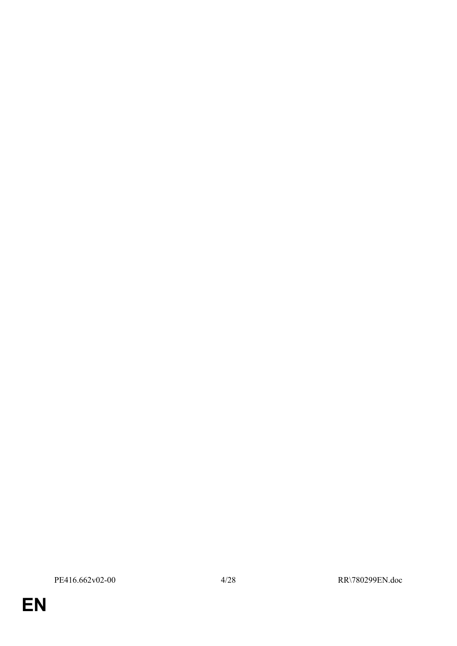PE416.662v02-00 4/28 RR\780299EN.doc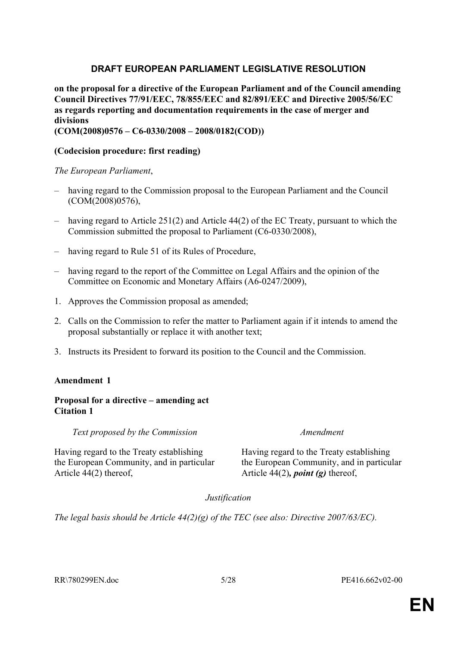# <span id="page-4-0"></span>**DRAFT EUROPEAN PARLIAMENT LEGISLATIVE RESOLUTION**

**on the proposal for a directive of the European Parliament and of the Council amending Council Directives 77/91/EEC, 78/855/EEC and 82/891/EEC and Directive 2005/56/EC as regards reporting and documentation requirements in the case of merger and divisions**

**(COM(2008)0576 – C6-0330/2008 – 2008/0182(COD))**

# **(Codecision procedure: first reading)**

*The European Parliament*,

- having regard to the Commission proposal to the European Parliament and the Council (COM(2008)0576),
- having regard to Article 251(2) and Article 44(2) of the EC Treaty, pursuant to which the Commission submitted the proposal to Parliament (C6-0330/2008),
- having regard to Rule 51 of its Rules of Procedure,
- having regard to the report of the Committee on Legal Affairs and the opinion of the Committee on Economic and Monetary Affairs (A6-0247/2009),
- 1. Approves the Commission proposal as amended;
- 2. Calls on the Commission to refer the matter to Parliament again if it intends to amend the proposal substantially or replace it with another text;
- 3. Instructs its President to forward its position to the Council and the Commission.

# **Amendment 1**

# **Proposal for a directive – amending act Citation 1**

*Text proposed by the Commission Amendment*

Having regard to the Treaty establishing the European Community, and in particular Article 44(2) thereof,

Having regard to the Treaty establishing the European Community, and in particular Article 44(2)*, point (g)* thereof,

# *Justification*

*The legal basis should be Article 44(2)(g) of the TEC (see also: Directive 2007/63/EC).*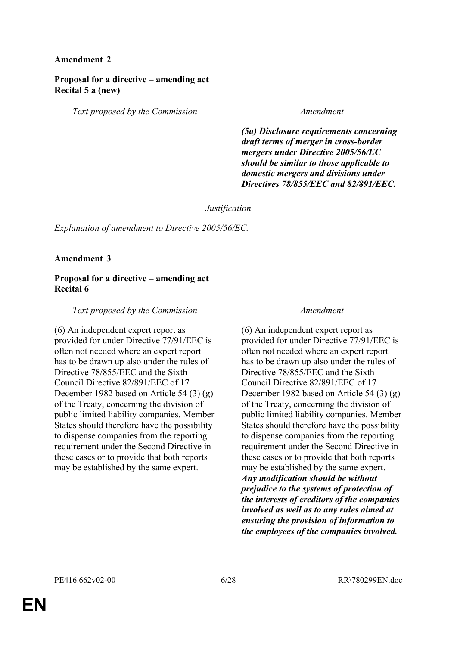# **Amendment 2**

# **Proposal for a directive – amending act Recital 5 a (new)**

*Text proposed by the Commission Amendment*

*(5a) Disclosure requirements concerning draft terms of merger in cross-border mergers under Directive 2005/56/EC should be similar to those applicable to domestic mergers and divisions under Directives 78/855/EEC and 82/891/EEC.*

*Justification*

*Explanation of amendment to Directive 2005/56/EC.*

# **Amendment 3**

# **Proposal for a directive – amending act Recital 6**

# *Text proposed by the Commission Amendment*

(6) An independent expert report as provided for under Directive 77/91/EEC is often not needed where an expert report has to be drawn up also under the rules of Directive 78/855/EEC and the Sixth Council Directive 82/891/EEC of 17 December 1982 based on Article 54 (3) (g) of the Treaty, concerning the division of public limited liability companies. Member States should therefore have the possibility to dispense companies from the reporting requirement under the Second Directive in these cases or to provide that both reports may be established by the same expert.

(6) An independent expert report as provided for under Directive 77/91/EEC is often not needed where an expert report has to be drawn up also under the rules of Directive 78/855/EEC and the Sixth Council Directive 82/891/EEC of 17 December 1982 based on Article 54 (3) (g) of the Treaty, concerning the division of public limited liability companies. Member States should therefore have the possibility to dispense companies from the reporting requirement under the Second Directive in these cases or to provide that both reports may be established by the same expert. *Any modification should be without prejudice to the systems of protection of the interests of creditors of the companies involved as well as to any rules aimed at ensuring the provision of information to the employees of the companies involved.*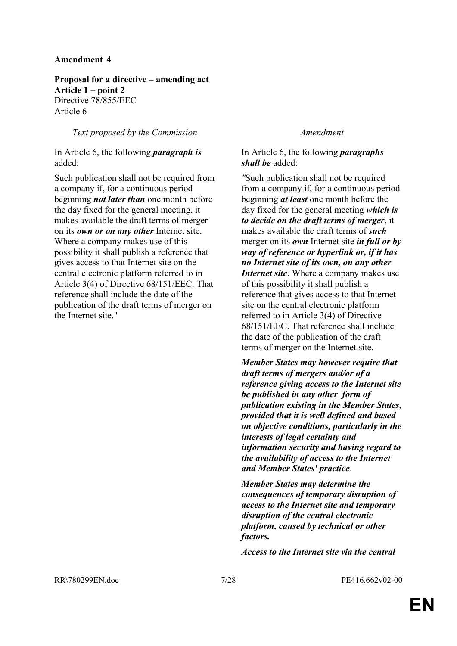### **Amendment 4**

**Proposal for a directive – amending act Article 1 – point 2** Directive 78/855/EEC Article 6

*Text proposed by the Commission Amendment*

In Article 6, the following *paragraph is*  added:

Such publication shall not be required from a company if, for a continuous period beginning *not later than* one month before the day fixed for the general meeting, it makes available the draft terms of merger on its *own or on any other* Internet site. Where a company makes use of this possibility it shall publish a reference that gives access to that Internet site on the central electronic platform referred to in Article 3(4) of Directive 68/151/EEC. That reference shall include the date of the publication of the draft terms of merger on the Internet site."

In Article 6, the following *paragraphs shall be* added:

*"*Such publication shall not be required from a company if, for a continuous period beginning *at least* one month before the day fixed for the general meeting *which is to decide on the draft terms of merger*, it makes available the draft terms of *such* merger on its *own* Internet site *in full or by way of reference or hyperlink or, if it has no Internet site of its own, on any other Internet site*. Where a company makes use of this possibility it shall publish a reference that gives access to that Internet site on the central electronic platform referred to in Article 3(4) of Directive 68/151/EEC. That reference shall include the date of the publication of the draft terms of merger on the Internet site.

*Member States may however require that draft terms of mergers and/or of a reference giving access to the Internet site be published in any other form of publication existing in the Member States, provided that it is well defined and based on objective conditions, particularly in the interests of legal certainty and information security and having regard to the availability of access to the Internet and Member States' practice*.

*Member States may determine the consequences of temporary disruption of access to the Internet site and temporary disruption of the central electronic platform, caused by technical or other factors.*

*Access to the Internet site via the central*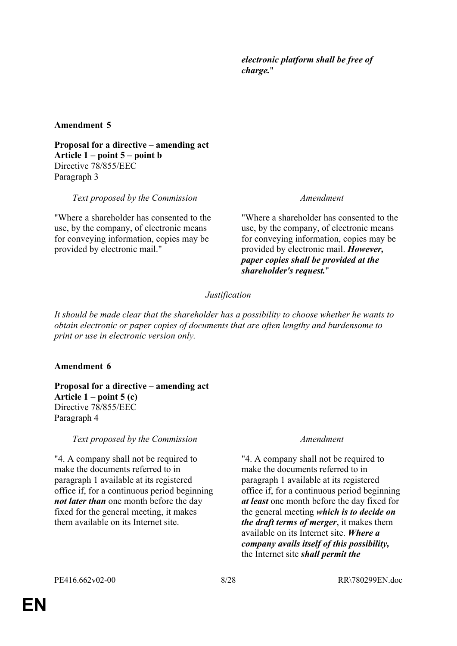*electronic platform shall be free of charge.*"

**Amendment 5**

**Proposal for a directive – amending act Article 1 – point 5 – point b** Directive 78/855/EEC Paragraph 3

*Text proposed by the Commission Amendment*

"Where a shareholder has consented to the use, by the company, of electronic means for conveying information, copies may be provided by electronic mail."

"Where a shareholder has consented to the use, by the company, of electronic means for conveying information, copies may be provided by electronic mail. *However, paper copies shall be provided at the shareholder's request.*"

# *Justification*

*It should be made clear that the shareholder has a possibility to choose whether he wants to obtain electronic or paper copies of documents that are often lengthy and burdensome to print or use in electronic version only.*

# **Amendment 6**

**Proposal for a directive – amending act Article 1 – point 5 (c)** Directive 78/855/EEC Paragraph 4

*Text proposed by the Commission Amendment*

"4. A company shall not be required to make the documents referred to in paragraph 1 available at its registered office if, for a continuous period beginning *not later than* one month before the day fixed for the general meeting, it makes them available on its Internet site.

"4. A company shall not be required to make the documents referred to in paragraph 1 available at its registered office if, for a continuous period beginning *at least* one month before the day fixed for the general meeting *which is to decide on the draft terms of merger*, it makes them available on its Internet site. *Where a company avails itself of this possibility,* the Internet site *shall permit the*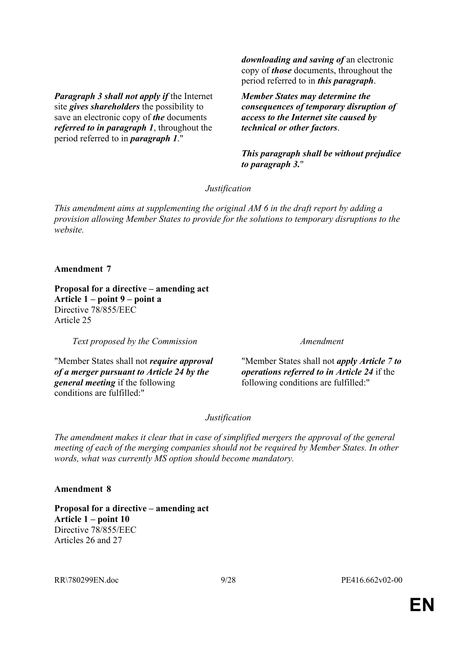*Paragraph 3 shall not apply if* the Internet site *gives shareholders* the possibility to save an electronic copy of *the* documents *referred to in paragraph 1*, throughout the period referred to in *paragraph 1*."

*downloading and saving of* an electronic copy of *those* documents, throughout the period referred to in *this paragraph*.

*Member States may determine the consequences of temporary disruption of access to the Internet site caused by technical or other factors*.

*This paragraph shall be without prejudice to paragraph 3.*"

*Justification*

*This amendment aims at supplementing the original AM 6 in the draft report by adding a provision allowing Member States to provide for the solutions to temporary disruptions to the website.*

### **Amendment 7**

**Proposal for a directive – amending act Article 1 – point 9 – point a** Directive 78/855/EEC Article 25

*Text proposed by the Commission Amendment*

"Member States shall not *require approval of a merger pursuant to Article 24 by the general meeting* if the following conditions are fulfilled:"

"Member States shall not *apply Article 7 to operations referred to in Article 24* if the following conditions are fulfilled:"

#### *Justification*

*The amendment makes it clear that in case of simplified mergers the approval of the general meeting of each of the merging companies should not be required by Member States. In other words, what was currently MS option should become mandatory.*

#### **Amendment 8**

**Proposal for a directive – amending act Article 1 – point 10** Directive 78/855/EEC Articles 26 and 27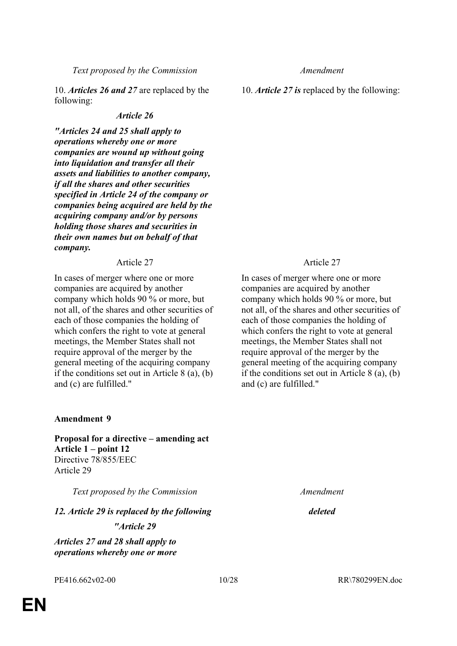10. *Articles 26 and 27* are replaced by the following:

# *Article 26*

*"Articles 24 and 25 shall apply to operations whereby one or more companies are wound up without going into liquidation and transfer all their assets and liabilities to another company, if all the shares and other securities specified in Article 24 of the company or companies being acquired are held by the acquiring company and/or by persons holding those shares and securities in their own names but on behalf of that company.*

# Article 27 Article 27

In cases of merger where one or more companies are acquired by another company which holds 90 % or more, but not all, of the shares and other securities of each of those companies the holding of which confers the right to vote at general meetings, the Member States shall not require approval of the merger by the general meeting of the acquiring company if the conditions set out in Article 8 (a), (b) and (c) are fulfilled."

# **Amendment 9**

**Proposal for a directive – amending act Article 1 – point 12** Directive 78/855/EEC Article 29

*Text proposed by the Commission Amendment*

*12. Article 29 is replaced by the following deleted*

*"Article 29*

*Articles 27 and 28 shall apply to operations whereby one or more* 

10. *Article 27 is* replaced by the following:

In cases of merger where one or more companies are acquired by another company which holds 90 % or more, but not all, of the shares and other securities of each of those companies the holding of which confers the right to vote at general meetings, the Member States shall not require approval of the merger by the general meeting of the acquiring company if the conditions set out in Article 8 (a), (b) and (c) are fulfilled."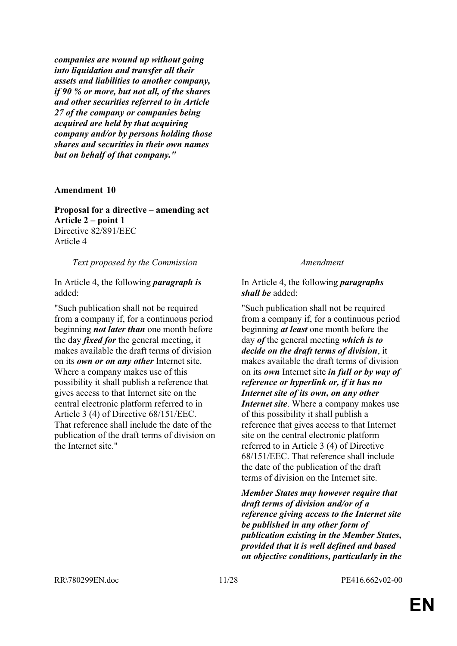*companies are wound up without going into liquidation and transfer all their assets and liabilities to another company, if 90 % or more, but not all, of the shares and other securities referred to in Article 27 of the company or companies being acquired are held by that acquiring company and/or by persons holding those shares and securities in their own names but on behalf of that company."*

#### **Amendment 10**

**Proposal for a directive – amending act Article 2 – point 1** Directive 82/891/EEC Article 4

#### *Text proposed by the Commission Amendment*

In Article 4, the following *paragraph is*  added:

"Such publication shall not be required from a company if, for a continuous period beginning *not later than* one month before the day *fixed for* the general meeting, it makes available the draft terms of division on its *own or on any other* Internet site. Where a company makes use of this possibility it shall publish a reference that gives access to that Internet site on the central electronic platform referred to in Article 3 (4) of Directive 68/151/EEC. That reference shall include the date of the publication of the draft terms of division on the Internet site."

In Article 4, the following *paragraphs shall be* added:

"Such publication shall not be required from a company if, for a continuous period beginning *at least* one month before the day *of* the general meeting *which is to decide on the draft terms of division*, it makes available the draft terms of division on its *own* Internet site *in full or by way of reference or hyperlink or, if it has no Internet site of its own, on any other Internet site*. Where a company makes use of this possibility it shall publish a reference that gives access to that Internet site on the central electronic platform referred to in Article 3 (4) of Directive 68/151/EEC. That reference shall include the date of the publication of the draft terms of division on the Internet site.

*Member States may however require that draft terms of division and/or of a reference giving access to the Internet site be published in any other form of publication existing in the Member States, provided that it is well defined and based on objective conditions, particularly in the*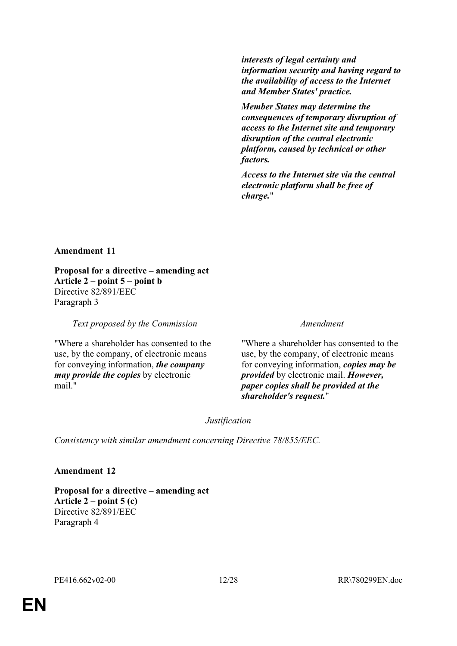*interests of legal certainty and information security and having regard to the availability of access to the Internet and Member States' practice.*

*Member States may determine the consequences of temporary disruption of access to the Internet site and temporary disruption of the central electronic platform, caused by technical or other factors.*

*Access to the Internet site via the central electronic platform shall be free of charge.*"

# **Amendment 11**

**Proposal for a directive – amending act Article 2 – point 5 – point b** Directive 82/891/EEC Paragraph 3

*Text proposed by the Commission Amendment*

"Where a shareholder has consented to the use, by the company, of electronic means for conveying information, *the company may provide the copies* by electronic mail."

"Where a shareholder has consented to the use, by the company, of electronic means for conveying information, *copies may be provided* by electronic mail. *However, paper copies shall be provided at the shareholder's request.*"

### *Justification*

*Consistency with similar amendment concerning Directive 78/855/EEC.*

**Amendment 12**

**Proposal for a directive – amending act Article 2 – point 5 (c)** Directive 82/891/EEC Paragraph 4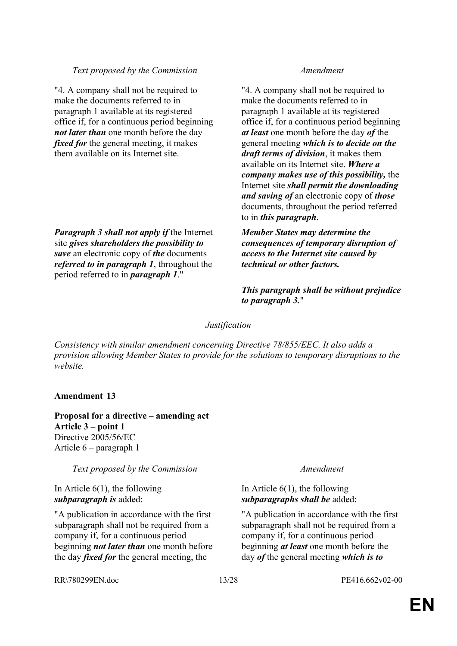# *Text proposed by the Commission Amendment*

"4. A company shall not be required to make the documents referred to in paragraph 1 available at its registered office if, for a continuous period beginning *not later than* one month before the day *fixed for* the general meeting, it makes them available on its Internet site.

*Paragraph 3 shall not apply if* the Internet site *gives shareholders the possibility to save* an electronic copy of *the* documents *referred to in paragraph 1*, throughout the

period referred to in *paragraph 1*."

"4. A company shall not be required to make the documents referred to in paragraph 1 available at its registered office if, for a continuous period beginning *at least* one month before the day *of* the general meeting *which is to decide on the draft terms of division*, it makes them available on its Internet site. *Where a company makes use of this possibility,* the Internet site *shall permit the downloading and saving of* an electronic copy of *those* documents, throughout the period referred to in *this paragraph*.

*Member States may determine the consequences of temporary disruption of access to the Internet site caused by technical or other factors.*

*This paragraph shall be without prejudice to paragraph 3.*"

### *Justification*

*Consistency with similar amendment concerning Directive 78/855/EEC. It also adds a provision allowing Member States to provide for the solutions to temporary disruptions to the website.*

# **Amendment 13**

**Proposal for a directive – amending act Article 3 – point 1** Directive 2005/56/EC Article 6 – paragraph 1

*Text proposed by the Commission Amendment*

In Article  $6(1)$ , the following *subparagraph is* added:

"A publication in accordance with the first subparagraph shall not be required from a company if, for a continuous period beginning *not later than* one month before the day *fixed for* the general meeting, the

### In Article  $6(1)$ , the following *subparagraphs shall be* added:

"A publication in accordance with the first subparagraph shall not be required from a company if, for a continuous period beginning *at least* one month before the day *of* the general meeting *which is to* 

RR\780299EN.doc 13/28 PE416.662v02-00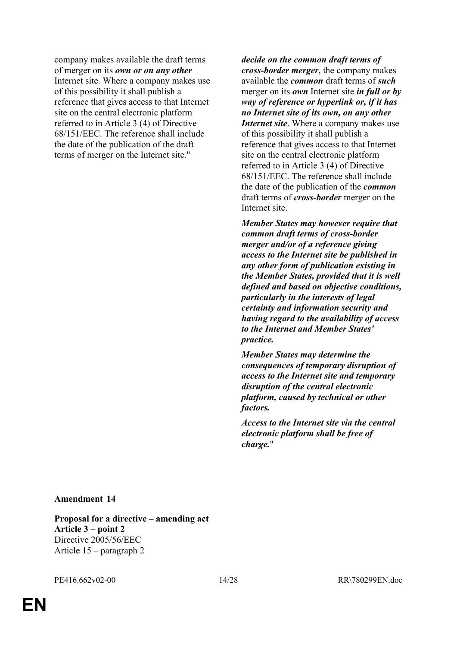company makes available the draft terms of merger on its *own or on any other* Internet site. Where a company makes use of this possibility it shall publish a reference that gives access to that Internet site on the central electronic platform referred to in Article 3 (4) of Directive 68/151/EEC. The reference shall include the date of the publication of the draft terms of merger on the Internet site."

*decide on the common draft terms of cross-border merger*, the company makes available the *common* draft terms of *such*  merger on its *own* Internet site *in full or by way of reference or hyperlink or, if it has no Internet site of its own, on any other Internet site.* Where a company makes use of this possibility it shall publish a reference that gives access to that Internet site on the central electronic platform referred to in Article 3 (4) of Directive 68/151/EEC. The reference shall include the date of the publication of the *common* draft terms of *cross-border* merger on the Internet site.

*Member States may however require that common draft terms of cross-border merger and/or of a reference giving access to the Internet site be published in any other form of publication existing in the Member States, provided that it is well defined and based on objective conditions, particularly in the interests of legal certainty and information security and having regard to the availability of access to the Internet and Member States' practice.*

*Member States may determine the consequences of temporary disruption of access to the Internet site and temporary disruption of the central electronic platform, caused by technical or other factors.*

*Access to the Internet site via the central electronic platform shall be free of charge.*"

### **Amendment 14**

**Proposal for a directive – amending act Article 3 – point 2** Directive 2005/56/EEC Article 15 – paragraph 2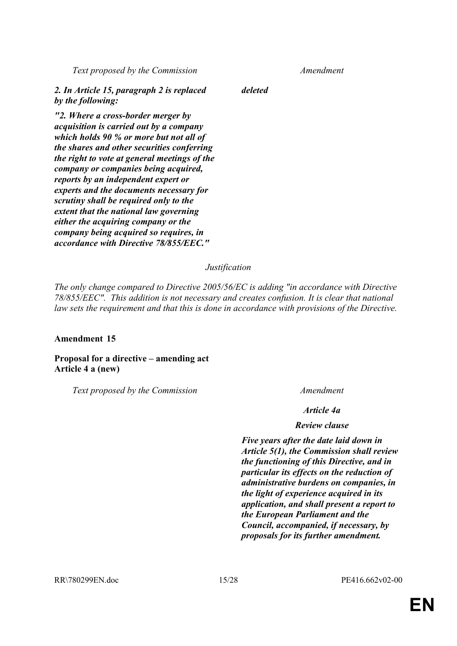*Text proposed by the Commission Amendment*

*2. In Article 15, paragraph 2 is replaced by the following:*

*"2. Where a cross-border merger by acquisition is carried out by a company which holds 90 % or more but not all of the shares and other securities conferring the right to vote at general meetings of the company or companies being acquired, reports by an independent expert or experts and the documents necessary for scrutiny shall be required only to the extent that the national law governing either the acquiring company or the company being acquired so requires, in accordance with Directive 78/855/EEC."*

# *Justification*

*deleted*

*The only change compared to Directive 2005/56/EC is adding "in accordance with Directive 78/855/EEC". This addition is not necessary and creates confusion. It is clear that national law sets the requirement and that this is done in accordance with provisions of the Directive.*

#### **Amendment 15**

**Proposal for a directive – amending act Article 4 a (new)**

*Text proposed by the Commission Amendment*

*Article 4a*

#### *Review clause*

*Five years after the date laid down in Article 5(1), the Commission shall review the functioning of this Directive, and in particular its effects on the reduction of administrative burdens on companies, in the light of experience acquired in its application, and shall present a report to the European Parliament and the Council, accompanied, if necessary, by proposals for its further amendment.*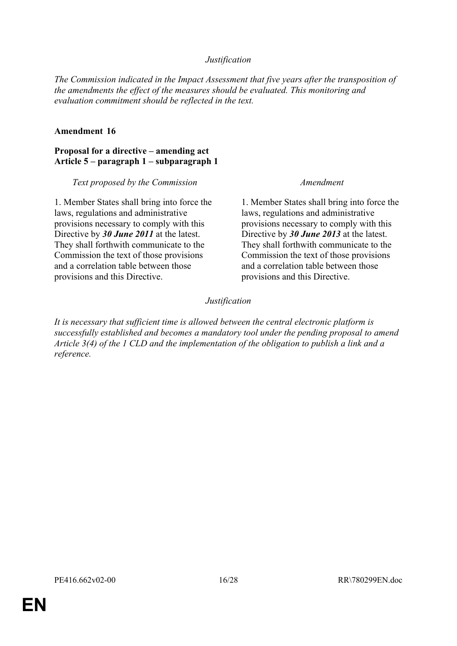# *Justification*

*The Commission indicated in the Impact Assessment that five years after the transposition of the amendments the effect of the measures should be evaluated. This monitoring and evaluation commitment should be reflected in the text.*

### **Amendment 16**

# **Proposal for a directive – amending act Article 5 – paragraph 1 – subparagraph 1**

*Text proposed by the Commission Amendment*

1. Member States shall bring into force the laws, regulations and administrative provisions necessary to comply with this Directive by *30 June 2011* at the latest. They shall forthwith communicate to the Commission the text of those provisions and a correlation table between those provisions and this Directive.

1. Member States shall bring into force the laws, regulations and administrative provisions necessary to comply with this Directive by *30 June 2013* at the latest. They shall forthwith communicate to the Commission the text of those provisions and a correlation table between those provisions and this Directive.

#### *Justification*

*It is necessary that sufficient time is allowed between the central electronic platform is successfully established and becomes a mandatory tool under the pending proposal to amend Article 3(4) of the 1 CLD and the implementation of the obligation to publish a link and a reference.*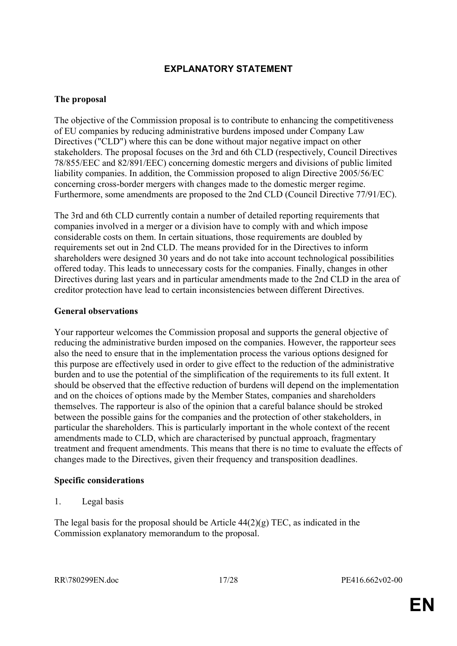# <span id="page-16-0"></span>**EXPLANATORY STATEMENT**

# **The proposal**

The objective of the Commission proposal is to contribute to enhancing the competitiveness of EU companies by reducing administrative burdens imposed under Company Law Directives ("CLD") where this can be done without major negative impact on other stakeholders. The proposal focuses on the 3rd and 6th CLD (respectively, Council Directives 78/855/EEC and 82/891/EEC) concerning domestic mergers and divisions of public limited liability companies. In addition, the Commission proposed to align Directive 2005/56/EC concerning cross-border mergers with changes made to the domestic merger regime. Furthermore, some amendments are proposed to the 2nd CLD (Council Directive 77/91/EC).

The 3rd and 6th CLD currently contain a number of detailed reporting requirements that companies involved in a merger or a division have to comply with and which impose considerable costs on them. In certain situations, those requirements are doubled by requirements set out in 2nd CLD. The means provided for in the Directives to inform shareholders were designed 30 years and do not take into account technological possibilities offered today. This leads to unnecessary costs for the companies. Finally, changes in other Directives during last years and in particular amendments made to the 2nd CLD in the area of creditor protection have lead to certain inconsistencies between different Directives.

# **General observations**

Your rapporteur welcomes the Commission proposal and supports the general objective of reducing the administrative burden imposed on the companies. However, the rapporteur sees also the need to ensure that in the implementation process the various options designed for this purpose are effectively used in order to give effect to the reduction of the administrative burden and to use the potential of the simplification of the requirements to its full extent. It should be observed that the effective reduction of burdens will depend on the implementation and on the choices of options made by the Member States, companies and shareholders themselves. The rapporteur is also of the opinion that a careful balance should be stroked between the possible gains for the companies and the protection of other stakeholders, in particular the shareholders. This is particularly important in the whole context of the recent amendments made to CLD, which are characterised by punctual approach, fragmentary treatment and frequent amendments. This means that there is no time to evaluate the effects of changes made to the Directives, given their frequency and transposition deadlines.

# **Specific considerations**

1. Legal basis

The legal basis for the proposal should be Article 44(2)(g) TEC, as indicated in the Commission explanatory memorandum to the proposal.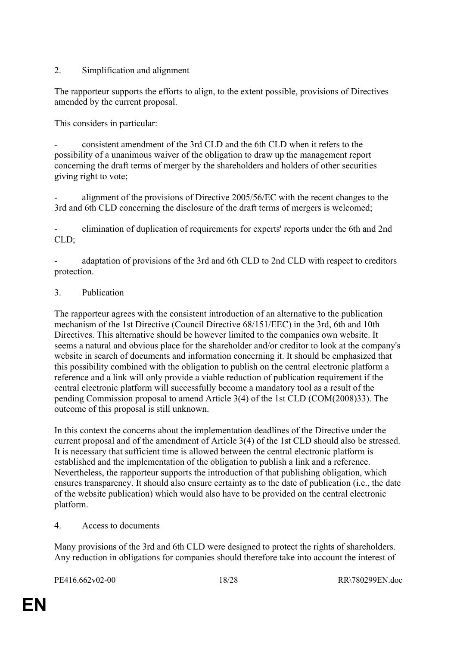# 2. Simplification and alignment

The rapporteur supports the efforts to align, to the extent possible, provisions of Directives amended by the current proposal.

This considers in particular:

- consistent amendment of the 3rd CLD and the 6th CLD when it refers to the possibility of a unanimous waiver of the obligation to draw up the management report concerning the draft terms of merger by the shareholders and holders of other securities giving right to vote;

- alignment of the provisions of Directive 2005/56/EC with the recent changes to the 3rd and 6th CLD concerning the disclosure of the draft terms of mergers is welcomed;

- elimination of duplication of requirements for experts' reports under the 6th and 2nd CLD;

adaptation of provisions of the 3rd and 6th CLD to 2nd CLD with respect to creditors protection.

# 3. Publication

The rapporteur agrees with the consistent introduction of an alternative to the publication mechanism of the 1st Directive (Council Directive 68/151/EEC) in the 3rd, 6th and 10th Directives. This alternative should be however limited to the companies own website. It seems a natural and obvious place for the shareholder and/or creditor to look at the company's website in search of documents and information concerning it. It should be emphasized that this possibility combined with the obligation to publish on the central electronic platform a reference and a link will only provide a viable reduction of publication requirement if the central electronic platform will successfully become a mandatory tool as a result of the pending Commission proposal to amend Article 3(4) of the 1st CLD (COM(2008)33). The outcome of this proposal is still unknown.

In this context the concerns about the implementation deadlines of the Directive under the current proposal and of the amendment of Article 3(4) of the 1st CLD should also be stressed. It is necessary that sufficient time is allowed between the central electronic platform is established and the implementation of the obligation to publish a link and a reference. Nevertheless, the rapporteur supports the introduction of that publishing obligation, which ensures transparency. It should also ensure certainty as to the date of publication (i.e., the date of the website publication) which would also have to be provided on the central electronic platform.

# 4. Access to documents

Many provisions of the 3rd and 6th CLD were designed to protect the rights of shareholders. Any reduction in obligations for companies should therefore take into account the interest of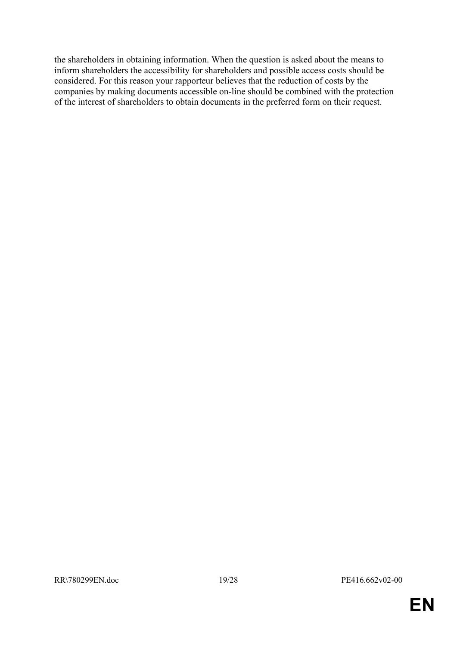the shareholders in obtaining information. When the question is asked about the means to inform shareholders the accessibility for shareholders and possible access costs should be considered. For this reason your rapporteur believes that the reduction of costs by the companies by making documents accessible on-line should be combined with the protection of the interest of shareholders to obtain documents in the preferred form on their request.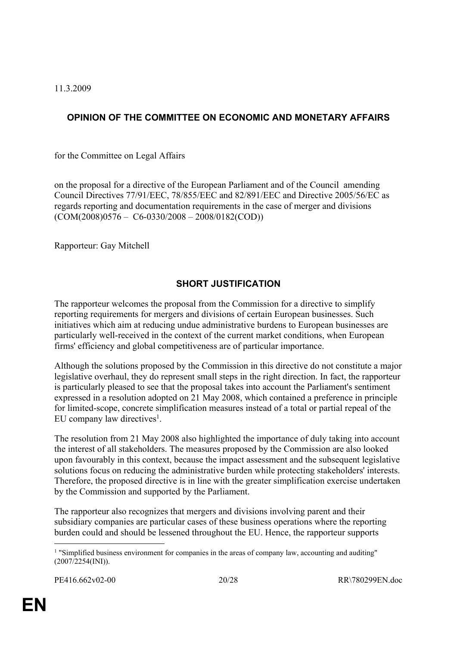11.3.2009

# <span id="page-19-0"></span>**OPINION OF THE COMMITTEE ON ECONOMIC AND MONETARY AFFAIRS**

for the Committee on Legal Affairs

on the proposal for a directive of the European Parliament and of the Council amending Council Directives 77/91/EEC, 78/855/EEC and 82/891/EEC and Directive 2005/56/EC as regards reporting and documentation requirements in the case of merger and divisions  $(COM(2008)0576 - C6-0330/2008 - 2008/0182(COD))$ 

Rapporteur: Gay Mitchell

# **SHORT JUSTIFICATION**

The rapporteur welcomes the proposal from the Commission for a directive to simplify reporting requirements for mergers and divisions of certain European businesses. Such initiatives which aim at reducing undue administrative burdens to European businesses are particularly well-received in the context of the current market conditions, when European firms' efficiency and global competitiveness are of particular importance.

Although the solutions proposed by the Commission in this directive do not constitute a major legislative overhaul, they do represent small steps in the right direction. In fact, the rapporteur is particularly pleased to see that the proposal takes into account the Parliament's sentiment expressed in a resolution adopted on 21 May 2008, which contained a preference in principle for limited-scope, concrete simplification measures instead of a total or partial repeal of the EU company law directives<sup>1</sup>.

The resolution from 21 May 2008 also highlighted the importance of duly taking into account the interest of all stakeholders. The measures proposed by the Commission are also looked upon favourably in this context, because the impact assessment and the subsequent legislative solutions focus on reducing the administrative burden while protecting stakeholders' interests. Therefore, the proposed directive is in line with the greater simplification exercise undertaken by the Commission and supported by the Parliament.

The rapporteur also recognizes that mergers and divisions involving parent and their subsidiary companies are particular cases of these business operations where the reporting burden could and should be lessened throughout the EU. Hence, the rapporteur supports

<sup>1</sup> "Simplified business environment for companies in the areas of company law, accounting and auditing" (2007/2254(INI)).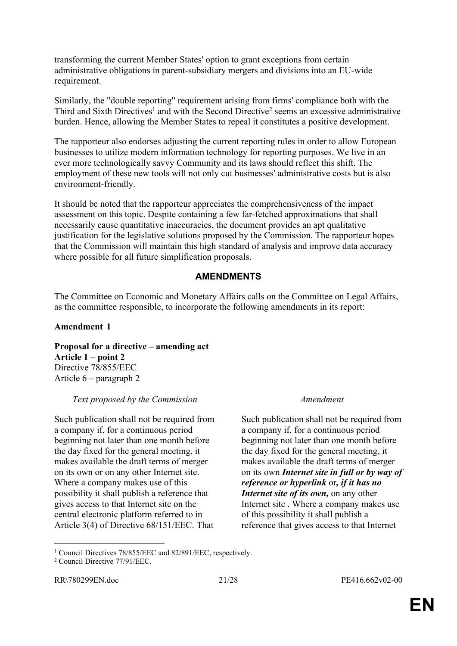transforming the current Member States' option to grant exceptions from certain administrative obligations in parent-subsidiary mergers and divisions into an EU-wide requirement.

Similarly, the "double reporting" requirement arising from firms' compliance both with the Third and Sixth Directives<sup>1</sup> and with the Second Directive<sup>2</sup> seems an excessive administrative burden. Hence, allowing the Member States to repeal it constitutes a positive development.

The rapporteur also endorses adjusting the current reporting rules in order to allow European businesses to utilize modern information technology for reporting purposes. We live in an ever more technologically savvy Community and its laws should reflect this shift. The employment of these new tools will not only cut businesses' administrative costs but is also environment-friendly.

It should be noted that the rapporteur appreciates the comprehensiveness of the impact assessment on this topic. Despite containing a few far-fetched approximations that shall necessarily cause quantitative inaccuracies, the document provides an apt qualitative justification for the legislative solutions proposed by the Commission. The rapporteur hopes that the Commission will maintain this high standard of analysis and improve data accuracy where possible for all future simplification proposals.

# **AMENDMENTS**

The Committee on Economic and Monetary Affairs calls on the Committee on Legal Affairs, as the committee responsible, to incorporate the following amendments in its report:

# **Amendment 1**

**Proposal for a directive – amending act Article 1 – point 2** Directive 78/855/EEC Article 6 – paragraph 2

# *Text proposed by the Commission Amendment*

Such publication shall not be required from a company if, for a continuous period beginning not later than one month before the day fixed for the general meeting, it makes available the draft terms of merger on its own or on any other Internet site. Where a company makes use of this possibility it shall publish a reference that gives access to that Internet site on the central electronic platform referred to in Article 3(4) of Directive 68/151/EEC. That

Such publication shall not be required from a company if, for a continuous period beginning not later than one month before the day fixed for the general meeting, it makes available the draft terms of merger on its own *Internet site in full or by way of reference or hyperlink* or*, if it has no <i>Internet site of its own*, on any other Internet site . Where a company makes use of this possibility it shall publish a reference that gives access to that Internet

<sup>1</sup> Council Directives 78/855/EEC and 82/891/EEC, respectively.

<sup>2</sup> Council Directive 77/91/EEC.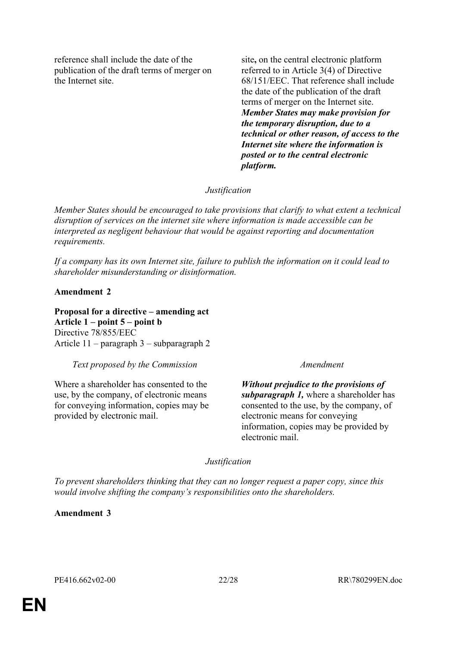reference shall include the date of the publication of the draft terms of merger on the Internet site.

site**,** on the central electronic platform referred to in Article 3(4) of Directive 68/151/EEC. That reference shall include the date of the publication of the draft terms of merger on the Internet site. *Member States may make provision for the temporary disruption, due to a technical or other reason, of access to the Internet site where the information is posted or to the central electronic platform.*

*Justification*

*Member States should be encouraged to take provisions that clarify to what extent a technical disruption of services on the internet site where information is made accessible can be interpreted as negligent behaviour that would be against reporting and documentation requirements.*

*If a company has its own Internet site, failure to publish the information on it could lead to shareholder misunderstanding or disinformation.*

**Amendment 2**

**Proposal for a directive – amending act Article 1 – point 5 – point b** Directive 78/855/EEC Article 11 – paragraph 3 – subparagraph 2

*Text proposed by the Commission Amendment*

Where a shareholder has consented to the use, by the company, of electronic means for conveying information, copies may be provided by electronic mail.

*Without prejudice to the provisions of subparagraph 1,* where a shareholder has consented to the use, by the company, of electronic means for conveying information, copies may be provided by electronic mail.

*Justification*

*To prevent shareholders thinking that they can no longer request a paper copy, since this would involve shifting the company's responsibilities onto the shareholders.* 

**Amendment 3**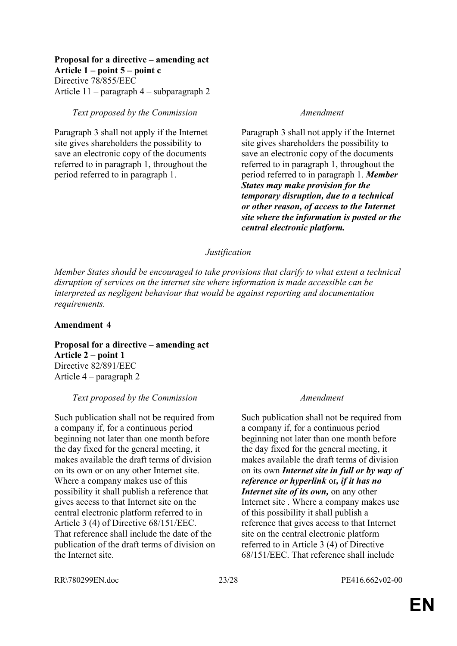#### **Proposal for a directive – amending act Article 1 – point 5 – point c**

Directive 78/855/EEC Article 11 – paragraph 4 – subparagraph 2

### *Text proposed by the Commission Amendment*

Paragraph 3 shall not apply if the Internet site gives shareholders the possibility to save an electronic copy of the documents referred to in paragraph 1, throughout the period referred to in paragraph 1.

Paragraph 3 shall not apply if the Internet site gives shareholders the possibility to save an electronic copy of the documents referred to in paragraph 1, throughout the period referred to in paragraph 1. *Member States may make provision for the temporary disruption, due to a technical or other reason, of access to the Internet site where the information is posted or the central electronic platform.*

### *Justification*

*Member States should be encouraged to take provisions that clarify to what extent a technical disruption of services on the internet site where information is made accessible can be interpreted as negligent behaviour that would be against reporting and documentation requirements.*

### **Amendment 4**

**Proposal for a directive – amending act Article 2 – point 1** Directive 82/891/EEC Article 4 – paragraph 2

### *Text proposed by the Commission Amendment*

Such publication shall not be required from a company if, for a continuous period beginning not later than one month before the day fixed for the general meeting, it makes available the draft terms of division on its own or on any other Internet site. Where a company makes use of this possibility it shall publish a reference that gives access to that Internet site on the central electronic platform referred to in Article 3 (4) of Directive 68/151/EEC. That reference shall include the date of the publication of the draft terms of division on the Internet site.

Such publication shall not be required from a company if, for a continuous period beginning not later than one month before the day fixed for the general meeting, it makes available the draft terms of division on its own *Internet site in full or by way of reference or hyperlink* or*, if it has no <i>Internet site of its own*, on any other Internet site . Where a company makes use of this possibility it shall publish a reference that gives access to that Internet site on the central electronic platform referred to in Article 3 (4) of Directive 68/151/EEC. That reference shall include

RR\780299EN.doc 23/28 PE416.662v02-00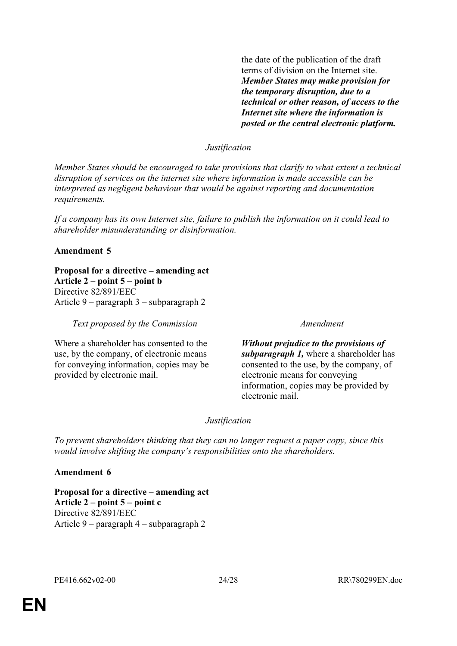the date of the publication of the draft terms of division on the Internet site. *Member States may make provision for the temporary disruption, due to a technical or other reason, of access to the Internet site where the information is posted or the central electronic platform.*

### *Justification*

*Member States should be encouraged to take provisions that clarify to what extent a technical disruption of services on the internet site where information is made accessible can be interpreted as negligent behaviour that would be against reporting and documentation requirements.*

*If a company has its own Internet site, failure to publish the information on it could lead to shareholder misunderstanding or disinformation.*

# **Amendment 5**

**Proposal for a directive – amending act Article 2 – point 5 – point b** Directive 82/891/EEC Article 9 – paragraph 3 – subparagraph 2

*Text proposed by the Commission Amendment*

Where a shareholder has consented to the use, by the company, of electronic means for conveying information, copies may be provided by electronic mail.

*Without prejudice to the provisions of subparagraph 1,* where a shareholder has consented to the use, by the company, of electronic means for conveying information, copies may be provided by electronic mail.

### *Justification*

*To prevent shareholders thinking that they can no longer request a paper copy, since this would involve shifting the company's responsibilities onto the shareholders.*

### **Amendment 6**

**Proposal for a directive – amending act Article 2 – point 5 – point c** Directive 82/891/EEC Article 9 – paragraph 4 – subparagraph 2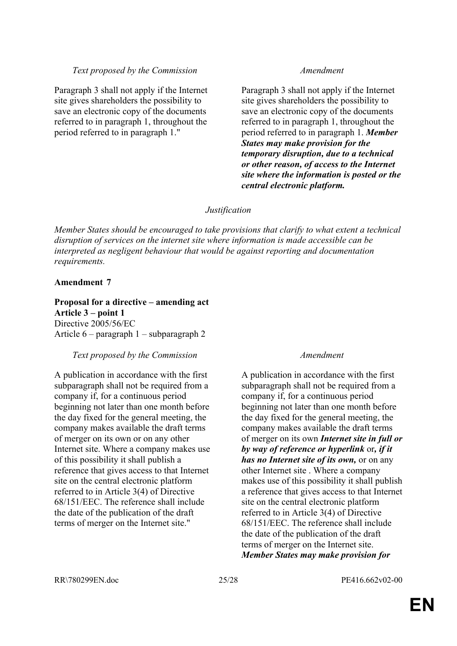### *Text proposed by the Commission Amendment*

Paragraph 3 shall not apply if the Internet site gives shareholders the possibility to save an electronic copy of the documents referred to in paragraph 1, throughout the period referred to in paragraph 1."

Paragraph 3 shall not apply if the Internet site gives shareholders the possibility to save an electronic copy of the documents referred to in paragraph 1, throughout the period referred to in paragraph 1. *Member States may make provision for the temporary disruption, due to a technical or other reason, of access to the Internet site where the information is posted or the central electronic platform.*

### *Justification*

*Member States should be encouraged to take provisions that clarify to what extent a technical disruption of services on the internet site where information is made accessible can be interpreted as negligent behaviour that would be against reporting and documentation requirements.*

#### **Amendment 7**

**Proposal for a directive – amending act Article 3 – point 1** Directive 2005/56/EC Article 6 – paragraph 1 – subparagraph 2

#### *Text proposed by the Commission Amendment*

A publication in accordance with the first subparagraph shall not be required from a company if, for a continuous period beginning not later than one month before the day fixed for the general meeting, the company makes available the draft terms of merger on its own or on any other Internet site. Where a company makes use of this possibility it shall publish a reference that gives access to that Internet site on the central electronic platform referred to in Article 3(4) of Directive 68/151/EEC. The reference shall include the date of the publication of the draft terms of merger on the Internet site."

A publication in accordance with the first subparagraph shall not be required from a company if, for a continuous period beginning not later than one month before the day fixed for the general meeting, the company makes available the draft terms of merger on its own *Internet site in full or by way of reference or hyperlink* or*, if it has no Internet site of its own,* or on any other Internet site . Where a company makes use of this possibility it shall publish a reference that gives access to that Internet site on the central electronic platform referred to in Article 3(4) of Directive 68/151/EEC. The reference shall include the date of the publication of the draft terms of merger on the Internet site. *Member States may make provision for* 

RR\780299EN.doc 25/28 PE416.662v02-00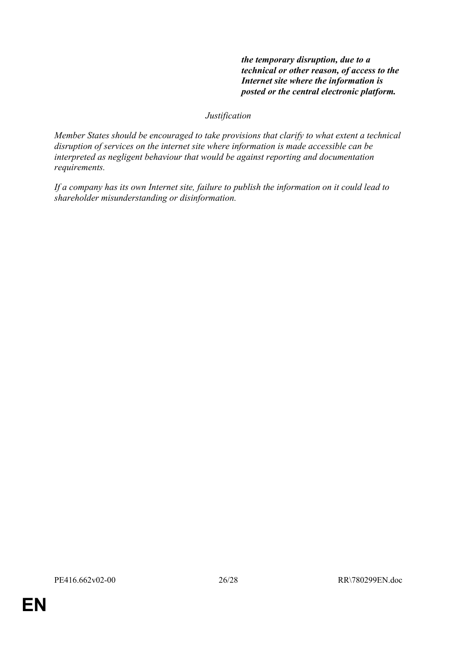*the temporary disruption, due to a technical or other reason, of access to the Internet site where the information is posted or the central electronic platform.*

# *Justification*

*Member States should be encouraged to take provisions that clarify to what extent a technical disruption of services on the internet site where information is made accessible can be interpreted as negligent behaviour that would be against reporting and documentation requirements.*

*If a company has its own Internet site, failure to publish the information on it could lead to shareholder misunderstanding or disinformation.*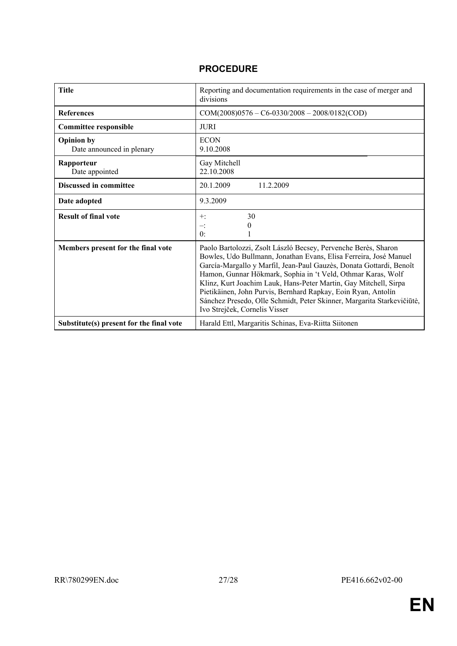| <b>Title</b>                                   | Reporting and documentation requirements in the case of merger and<br>divisions                                                                                                                                                                                                                                                                                                                                                                                                                                            |
|------------------------------------------------|----------------------------------------------------------------------------------------------------------------------------------------------------------------------------------------------------------------------------------------------------------------------------------------------------------------------------------------------------------------------------------------------------------------------------------------------------------------------------------------------------------------------------|
| <b>References</b>                              | $COM(2008)0576 - C6-0330/2008 - 2008/0182(COD)$                                                                                                                                                                                                                                                                                                                                                                                                                                                                            |
| <b>Committee responsible</b>                   | <b>JURI</b>                                                                                                                                                                                                                                                                                                                                                                                                                                                                                                                |
| <b>Opinion by</b><br>Date announced in plenary | <b>ECON</b><br>9.10.2008                                                                                                                                                                                                                                                                                                                                                                                                                                                                                                   |
| Rapporteur<br>Date appointed                   | Gay Mitchell<br>22.10.2008                                                                                                                                                                                                                                                                                                                                                                                                                                                                                                 |
| <b>Discussed in committee</b>                  | 20.1.2009<br>11.2.2009                                                                                                                                                                                                                                                                                                                                                                                                                                                                                                     |
| Date adopted                                   | 9.3.2009                                                                                                                                                                                                                                                                                                                                                                                                                                                                                                                   |
| <b>Result of final vote</b>                    | 30<br>$+$ :<br>0<br>Ξ.<br>0:                                                                                                                                                                                                                                                                                                                                                                                                                                                                                               |
| Members present for the final vote             | Paolo Bartolozzi, Zsolt László Becsey, Pervenche Berès, Sharon<br>Bowles, Udo Bullmann, Jonathan Evans, Elisa Ferreira, José Manuel<br>García-Margallo y Marfil, Jean-Paul Gauzès, Donata Gottardi, Benoît<br>Hamon, Gunnar Hökmark, Sophia in 't Veld, Othmar Karas, Wolf<br>Klinz, Kurt Joachim Lauk, Hans-Peter Martin, Gay Mitchell, Sirpa<br>Pietikäinen, John Purvis, Bernhard Rapkay, Eoin Ryan, Antolín<br>Sánchez Presedo, Olle Schmidt, Peter Skinner, Margarita Starkevičiūtė,<br>Ivo Strejček, Cornelis Visser |
| Substitute(s) present for the final vote       | Harald Ettl, Margaritis Schinas, Eva-Riitta Siitonen                                                                                                                                                                                                                                                                                                                                                                                                                                                                       |

# **PROCEDURE**